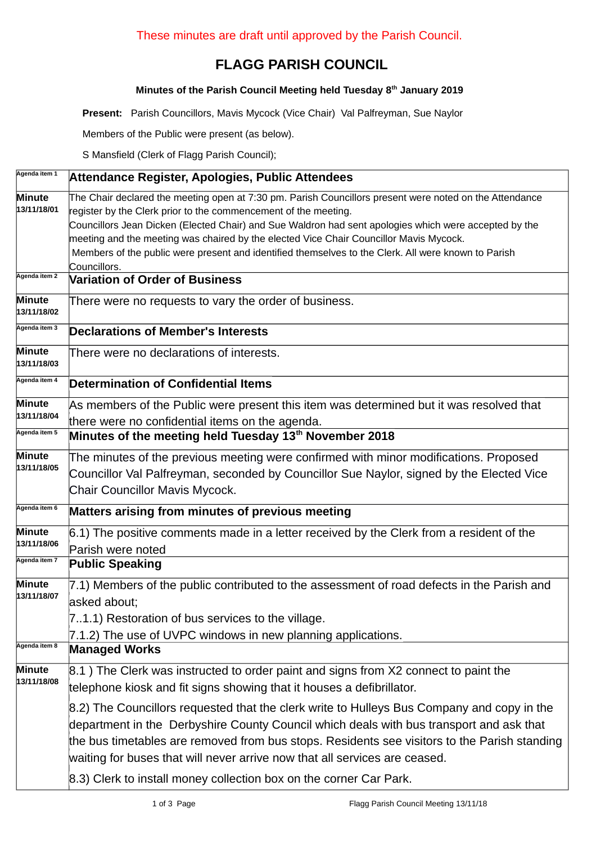## **FLAGG PARISH COUNCIL**

## **Minutes of the Parish Council Meeting held Tuesday 8th January 2019**

**Present:** Parish Councillors, Mavis Mycock (Vice Chair) Val Palfreyman, Sue Naylor

Members of the Public were present (as below).

S Mansfield (Clerk of Flagg Parish Council);

| Agenda item 1                          | Attendance Register, Apologies, Public Attendees                                                                                                                                                                                                                                                                                                                                                                                                                                                     |  |  |  |  |  |
|----------------------------------------|------------------------------------------------------------------------------------------------------------------------------------------------------------------------------------------------------------------------------------------------------------------------------------------------------------------------------------------------------------------------------------------------------------------------------------------------------------------------------------------------------|--|--|--|--|--|
| <b>Minute</b><br>13/11/18/01           | The Chair declared the meeting open at 7:30 pm. Parish Councillors present were noted on the Attendance<br>register by the Clerk prior to the commencement of the meeting.<br>Councillors Jean Dicken (Elected Chair) and Sue Waldron had sent apologies which were accepted by the<br>meeting and the meeting was chaired by the elected Vice Chair Councillor Mavis Mycock.<br>Members of the public were present and identified themselves to the Clerk. All were known to Parish<br>Councillors. |  |  |  |  |  |
| Agenda item 2                          | <b>Variation of Order of Business</b>                                                                                                                                                                                                                                                                                                                                                                                                                                                                |  |  |  |  |  |
| <b>Minute</b><br>13/11/18/02           | There were no requests to vary the order of business.                                                                                                                                                                                                                                                                                                                                                                                                                                                |  |  |  |  |  |
| Agenda item 3                          | <b>Declarations of Member's Interests</b>                                                                                                                                                                                                                                                                                                                                                                                                                                                            |  |  |  |  |  |
| Minute<br>13/11/18/03                  | There were no declarations of interests.                                                                                                                                                                                                                                                                                                                                                                                                                                                             |  |  |  |  |  |
| Agenda item 4                          | <b>Determination of Confidential Items</b>                                                                                                                                                                                                                                                                                                                                                                                                                                                           |  |  |  |  |  |
| <b>Minute</b><br>13/11/18/04           | As members of the Public were present this item was determined but it was resolved that<br>there were no confidential items on the agenda.                                                                                                                                                                                                                                                                                                                                                           |  |  |  |  |  |
| Agenda item 5                          | Minutes of the meeting held Tuesday 13 <sup>th</sup> November 2018                                                                                                                                                                                                                                                                                                                                                                                                                                   |  |  |  |  |  |
| <b>Minute</b><br>13/11/18/05           | The minutes of the previous meeting were confirmed with minor modifications. Proposed<br>Councillor Val Palfreyman, seconded by Councillor Sue Naylor, signed by the Elected Vice<br>Chair Councillor Mavis Mycock.                                                                                                                                                                                                                                                                                  |  |  |  |  |  |
| Agenda item 6                          | Matters arising from minutes of previous meeting                                                                                                                                                                                                                                                                                                                                                                                                                                                     |  |  |  |  |  |
| Minute<br>13/11/18/06<br>Agenda item 7 | 6.1) The positive comments made in a letter received by the Clerk from a resident of the<br>Parish were noted                                                                                                                                                                                                                                                                                                                                                                                        |  |  |  |  |  |
|                                        | <b>Public Speaking</b>                                                                                                                                                                                                                                                                                                                                                                                                                                                                               |  |  |  |  |  |
| <b>Minute</b><br>13/11/18/07           | 7.1) Members of the public contributed to the assessment of road defects in the Parish and<br>asked about;<br>71.1) Restoration of bus services to the village.<br>7.1.2) The use of UVPC windows in new planning applications.                                                                                                                                                                                                                                                                      |  |  |  |  |  |
| Agenda item 8                          | <b>Managed Works</b>                                                                                                                                                                                                                                                                                                                                                                                                                                                                                 |  |  |  |  |  |
| <b>Minute</b><br>13/11/18/08           | 8.1) The Clerk was instructed to order paint and signs from X2 connect to paint the<br>telephone kiosk and fit signs showing that it houses a defibrillator.                                                                                                                                                                                                                                                                                                                                         |  |  |  |  |  |
|                                        | 8.2) The Councillors requested that the clerk write to Hulleys Bus Company and copy in the<br>department in the Derbyshire County Council which deals with bus transport and ask that<br>the bus timetables are removed from bus stops. Residents see visitors to the Parish standing<br>waiting for buses that will never arrive now that all services are ceased.<br>8.3) Clerk to install money collection box on the corner Car Park.                                                            |  |  |  |  |  |
|                                        |                                                                                                                                                                                                                                                                                                                                                                                                                                                                                                      |  |  |  |  |  |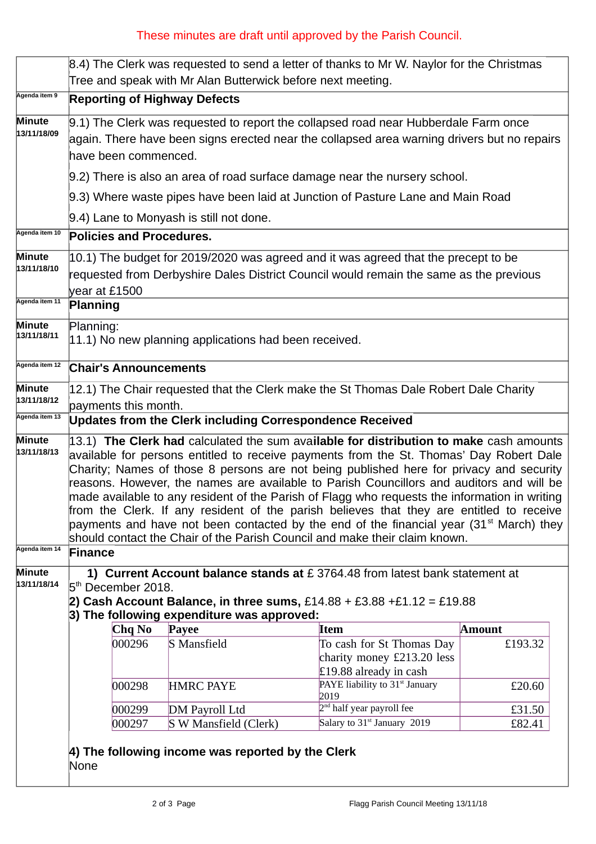## These minutes are draft until approved by the Parish Council.

|                              | 8.4) The Clerk was requested to send a letter of thanks to Mr W. Naylor for the Christmas<br>Tree and speak with Mr Alan Butterwick before next meeting.                                                                                                                                                                                                                                                                                                                                                                                                                                                                                                                                                                                                   |        |                       |  |                                                                                   |               |  |
|------------------------------|------------------------------------------------------------------------------------------------------------------------------------------------------------------------------------------------------------------------------------------------------------------------------------------------------------------------------------------------------------------------------------------------------------------------------------------------------------------------------------------------------------------------------------------------------------------------------------------------------------------------------------------------------------------------------------------------------------------------------------------------------------|--------|-----------------------|--|-----------------------------------------------------------------------------------|---------------|--|
| Agenda item 9                | <b>Reporting of Highway Defects</b>                                                                                                                                                                                                                                                                                                                                                                                                                                                                                                                                                                                                                                                                                                                        |        |                       |  |                                                                                   |               |  |
| <b>Minute</b><br>13/11/18/09 | 9.1) The Clerk was requested to report the collapsed road near Hubberdale Farm once<br>again. There have been signs erected near the collapsed area warning drivers but no repairs<br>have been commenced.                                                                                                                                                                                                                                                                                                                                                                                                                                                                                                                                                 |        |                       |  |                                                                                   |               |  |
|                              | 9.2) There is also an area of road surface damage near the nursery school.                                                                                                                                                                                                                                                                                                                                                                                                                                                                                                                                                                                                                                                                                 |        |                       |  |                                                                                   |               |  |
|                              | 9.3) Where waste pipes have been laid at Junction of Pasture Lane and Main Road                                                                                                                                                                                                                                                                                                                                                                                                                                                                                                                                                                                                                                                                            |        |                       |  |                                                                                   |               |  |
|                              | 9.4) Lane to Monyash is still not done.                                                                                                                                                                                                                                                                                                                                                                                                                                                                                                                                                                                                                                                                                                                    |        |                       |  |                                                                                   |               |  |
| Agenda item 10               | <b>Policies and Procedures.</b>                                                                                                                                                                                                                                                                                                                                                                                                                                                                                                                                                                                                                                                                                                                            |        |                       |  |                                                                                   |               |  |
| <b>Minute</b><br>13/11/18/10 | $ 10.1\rangle$ The budget for 2019/2020 was agreed and it was agreed that the precept to be<br>requested from Derbyshire Dales District Council would remain the same as the previous<br>year at £1500                                                                                                                                                                                                                                                                                                                                                                                                                                                                                                                                                     |        |                       |  |                                                                                   |               |  |
| Agenda item 11               | <b>Planning</b>                                                                                                                                                                                                                                                                                                                                                                                                                                                                                                                                                                                                                                                                                                                                            |        |                       |  |                                                                                   |               |  |
| <b>Minute</b><br>13/11/18/11 | Planning:<br>$ 11.1\rangle$ No new planning applications had been received.                                                                                                                                                                                                                                                                                                                                                                                                                                                                                                                                                                                                                                                                                |        |                       |  |                                                                                   |               |  |
| Agenda item 12               | <b>Chair's Announcements</b>                                                                                                                                                                                                                                                                                                                                                                                                                                                                                                                                                                                                                                                                                                                               |        |                       |  |                                                                                   |               |  |
| <b>Minute</b><br>13/11/18/12 | 12.1) The Chair requested that the Clerk make the St Thomas Dale Robert Dale Charity<br>payments this month.                                                                                                                                                                                                                                                                                                                                                                                                                                                                                                                                                                                                                                               |        |                       |  |                                                                                   |               |  |
| Agenda item 13               | <b>Updates from the Clerk including Correspondence Received</b>                                                                                                                                                                                                                                                                                                                                                                                                                                                                                                                                                                                                                                                                                            |        |                       |  |                                                                                   |               |  |
| <b>Minute</b><br>13/11/18/13 | 13.1) The Clerk had calculated the sum available for distribution to make cash amounts<br>available for persons entitled to receive payments from the St. Thomas' Day Robert Dale<br>Charity; Names of those 8 persons are not being published here for privacy and security<br>reasons. However, the names are available to Parish Councillors and auditors and will be<br>made available to any resident of the Parish of Flagg who requests the information in writing<br>from the Clerk. If any resident of the parish believes that they are entitled to receive<br>payments and have not been contacted by the end of the financial year (31 <sup>st</sup> March) they<br>should contact the Chair of the Parish Council and make their claim known. |        |                       |  |                                                                                   |               |  |
| Agenda item 14               | <b>Finance</b>                                                                                                                                                                                                                                                                                                                                                                                                                                                                                                                                                                                                                                                                                                                                             |        |                       |  |                                                                                   |               |  |
| <b>Minute</b><br>13/11/18/14 | 1) Current Account balance stands at £ 3764.48 from latest bank statement at<br>5 <sup>th</sup> December 2018.<br>2) Cash Account Balance, in three sums, $£14.88 + £3.88 + £1.12 = £19.88$<br>3) The following expenditure was approved:                                                                                                                                                                                                                                                                                                                                                                                                                                                                                                                  |        |                       |  |                                                                                   |               |  |
|                              |                                                                                                                                                                                                                                                                                                                                                                                                                                                                                                                                                                                                                                                                                                                                                            | Chq No | Payee                 |  | <b>Item</b>                                                                       | <b>Amount</b> |  |
|                              |                                                                                                                                                                                                                                                                                                                                                                                                                                                                                                                                                                                                                                                                                                                                                            | 000296 | S Mansfield           |  | To cash for St Thomas Day<br>charity money £213.20 less<br>£19.88 already in cash | £193.32       |  |
|                              |                                                                                                                                                                                                                                                                                                                                                                                                                                                                                                                                                                                                                                                                                                                                                            | 000298 | <b>HMRC PAYE</b>      |  | PAYE liability to 31 <sup>st</sup> January<br>2019                                | £20.60        |  |
|                              |                                                                                                                                                                                                                                                                                                                                                                                                                                                                                                                                                                                                                                                                                                                                                            | 000299 | DM Payroll Ltd        |  | 2 <sup>nd</sup> half year payroll fee                                             | £31.50        |  |
|                              |                                                                                                                                                                                                                                                                                                                                                                                                                                                                                                                                                                                                                                                                                                                                                            | 000297 | S W Mansfield (Clerk) |  | Salary to 31 <sup>st</sup> January 2019                                           | £82.41        |  |
|                              | 4) The following income was reported by the Clerk<br>None                                                                                                                                                                                                                                                                                                                                                                                                                                                                                                                                                                                                                                                                                                  |        |                       |  |                                                                                   |               |  |